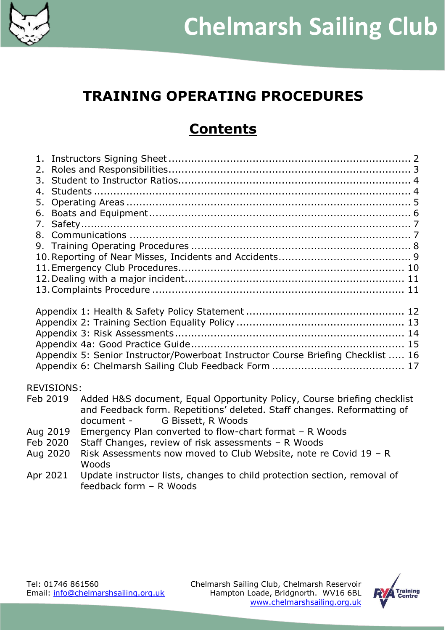

# **TRAINING OPERATING PROCEDURES**

# **Contents**

| 4.                |                                                                                  |  |
|-------------------|----------------------------------------------------------------------------------|--|
| 5.                |                                                                                  |  |
|                   |                                                                                  |  |
|                   |                                                                                  |  |
|                   |                                                                                  |  |
|                   |                                                                                  |  |
|                   |                                                                                  |  |
|                   |                                                                                  |  |
|                   |                                                                                  |  |
|                   |                                                                                  |  |
|                   |                                                                                  |  |
|                   |                                                                                  |  |
|                   |                                                                                  |  |
|                   |                                                                                  |  |
|                   |                                                                                  |  |
|                   |                                                                                  |  |
|                   | Appendix 5: Senior Instructor/Powerboat Instructor Course Briefing Checklist  16 |  |
|                   |                                                                                  |  |
| <b>REVISIONS:</b> |                                                                                  |  |
| Feb 2019          | Added H&S document, Equal Opportunity Policy, Course briefing checklist          |  |
|                   | and Feedback form. Repetitions' deleted. Staff changes. Reformatting of          |  |
|                   | document - G Bissett, R Woods                                                    |  |
|                   |                                                                                  |  |
| Aug 2019          | Emergency Plan converted to flow-chart format - R Woods                          |  |
| Feb 2020          | Staff Changes, review of risk assessments - R Woods                              |  |

- Aug 2020 Risk Assessments now moved to Club Website, note re Covid 19 R Woods
- Apr 2021 Update instructor lists, changes to child protection section, removal of feedback form – R Woods

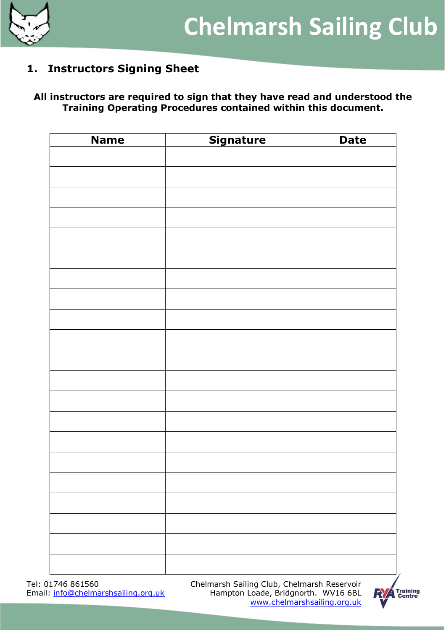

## <span id="page-1-0"></span>**1. Instructors Signing Sheet**

#### **All instructors are required to sign that they have read and understood the Training Operating Procedures contained within this document.**

| <b>Name</b> | <b>Signature</b> | <b>Date</b> |
|-------------|------------------|-------------|
|             |                  |             |
|             |                  |             |
|             |                  |             |
|             |                  |             |
|             |                  |             |
|             |                  |             |
|             |                  |             |
|             |                  |             |
|             |                  |             |
|             |                  |             |
|             |                  |             |
|             |                  |             |
|             |                  |             |
|             |                  |             |
|             |                  |             |
|             |                  |             |
|             |                  |             |
|             |                  |             |
|             |                  |             |
|             |                  |             |
|             |                  |             |
|             |                  |             |

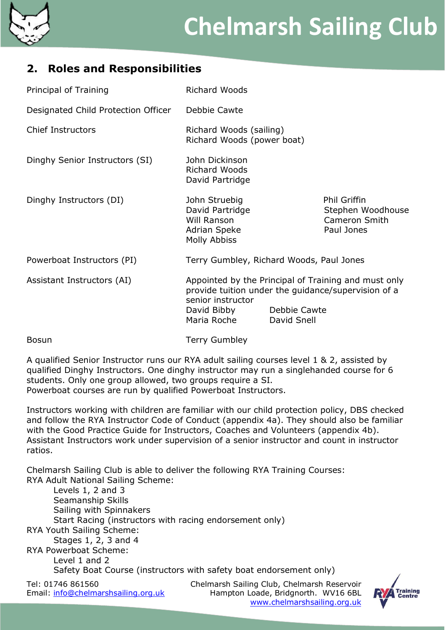

## <span id="page-2-0"></span>**2. Roles and Responsibilities**

| Principal of Training               | <b>Richard Woods</b>                                                                                                                                                                          |  |                                                                         |
|-------------------------------------|-----------------------------------------------------------------------------------------------------------------------------------------------------------------------------------------------|--|-------------------------------------------------------------------------|
| Designated Child Protection Officer | Debbie Cawte                                                                                                                                                                                  |  |                                                                         |
| <b>Chief Instructors</b>            | Richard Woods (sailing)<br>Richard Woods (power boat)                                                                                                                                         |  |                                                                         |
| Dinghy Senior Instructors (SI)      | John Dickinson<br><b>Richard Woods</b><br>David Partridge                                                                                                                                     |  |                                                                         |
| Dinghy Instructors (DI)             | John Struebig<br>David Partridge<br>Will Ranson<br>Adrian Speke<br>Molly Abbiss                                                                                                               |  | <b>Phil Griffin</b><br>Stephen Woodhouse<br>Cameron Smith<br>Paul Jones |
| Powerboat Instructors (PI)          | Terry Gumbley, Richard Woods, Paul Jones                                                                                                                                                      |  |                                                                         |
| Assistant Instructors (AI)          | Appointed by the Principal of Training and must only<br>provide tuition under the quidance/supervision of a<br>senior instructor<br>David Bibby<br>Debbie Cawte<br>Maria Roche<br>David Snell |  |                                                                         |
| <b>Bosun</b>                        | <b>Terry Gumbley</b>                                                                                                                                                                          |  |                                                                         |

A qualified Senior Instructor runs our RYA adult sailing courses level 1 & 2, assisted by qualified Dinghy Instructors. One dinghy instructor may run a singlehanded course for 6 students. Only one group allowed, two groups require a SI. Powerboat courses are run by qualified Powerboat Instructors.

Instructors working with children are familiar with our child protection policy, DBS checked and follow the RYA Instructor Code of Conduct (appendix 4a). They should also be familiar with the Good Practice Guide for Instructors, Coaches and Volunteers (appendix 4b). Assistant Instructors work under supervision of a senior instructor and count in instructor ratios.

Chelmarsh Sailing Club is able to deliver the following RYA Training Courses: RYA Adult National Sailing Scheme:

| Levels $1, 2$ and $3$<br>Seamanship Skills<br>Sailing with Spinnakers<br>Start Racing (instructors with racing endorsement only)<br>RYA Youth Sailing Scheme:<br>Stages 1, 2, 3 and 4<br><b>RYA Powerboat Scheme:</b><br>Level 1 and 2 | Safety Boat Course (instructors with safety boat endorsement only) |              |
|----------------------------------------------------------------------------------------------------------------------------------------------------------------------------------------------------------------------------------------|--------------------------------------------------------------------|--------------|
| Tel: 01746 861560                                                                                                                                                                                                                      | Chelmarsh Sailing Club, Chelmarsh Reservoir                        |              |
| Email: info@chelmarshsailing.org.uk                                                                                                                                                                                                    | Hampton Loade, Bridgnorth. WV16 6BL                                | $\mathbf{N}$ |

![](_page_2_Picture_8.jpeg)

[www.chelmarshsailing.org.uk](http://www.chelmarshsailing.org.u/#k)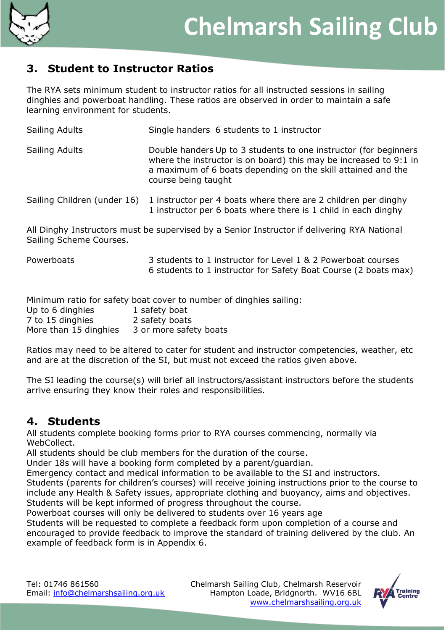![](_page_3_Picture_0.jpeg)

## <span id="page-3-0"></span>**3. Student to Instructor Ratios**

The RYA sets minimum student to instructor ratios for all instructed sessions in sailing dinghies and powerboat handling. These ratios are observed in order to maintain a safe learning environment for students.

| Sailing Adults              | Single handers 6 students to 1 instructor                                                                                                                                                                                    |
|-----------------------------|------------------------------------------------------------------------------------------------------------------------------------------------------------------------------------------------------------------------------|
| Sailing Adults              | Double handers Up to 3 students to one instructor (for beginners<br>where the instructor is on board) this may be increased to 9:1 in<br>a maximum of 6 boats depending on the skill attained and the<br>course being taught |
| Sailing Children (under 16) | 1 instructor per 4 boats where there are 2 children per dinghy<br>1 instructor per 6 boats where there is 1 child in each dinghy                                                                                             |
| Sailing Scheme Courses.     | All Dinghy Instructors must be supervised by a Senior Instructor if delivering RYA National                                                                                                                                  |
| Powerboats                  | 3 students to 1 instructor for Level 1 & 2 Powerboat courses<br>6 students to 1 instructor for Safety Boat Course (2 boats max)                                                                                              |

Minimum ratio for safety boat cover to number of dinghies sailing:

| Up to 6 dinghies      | 1 safety boat          |
|-----------------------|------------------------|
| 7 to 15 dinghies      | 2 safety boats         |
| More than 15 dinghies | 3 or more safety boats |

Ratios may need to be altered to cater for student and instructor competencies, weather, etc and are at the discretion of the SI, but must not exceed the ratios given above.

The SI leading the course(s) will brief all instructors/assistant instructors before the students arrive ensuring they know their roles and responsibilities.

## <span id="page-3-1"></span>**4. Students**

All students complete booking forms prior to RYA courses commencing, normally via WebCollect.

All students should be club members for the duration of the course.

Under 18s will have a booking form completed by a parent/guardian.

Emergency contact and medical information to be available to the SI and instructors.

Students (parents for children's courses) will receive joining instructions prior to the course to include any Health & Safety issues, appropriate clothing and buoyancy, aims and objectives. Students will be kept informed of progress throughout the course.

Powerboat courses will only be delivered to students over 16 years age

Students will be requested to complete a feedback form upon completion of a course and encouraged to provide feedback to improve the standard of training delivered by the club. An example of feedback form is in Appendix 6.

![](_page_3_Picture_19.jpeg)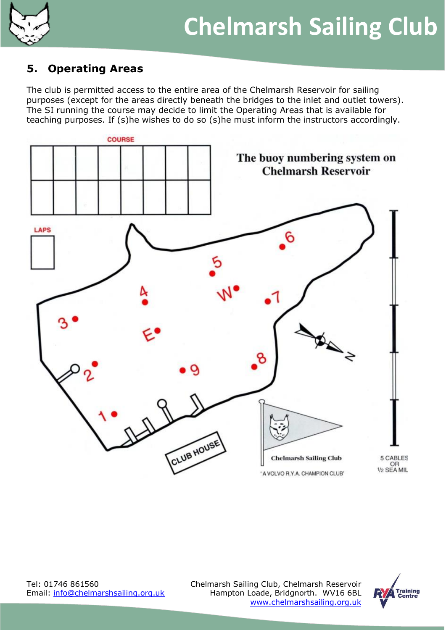![](_page_4_Picture_0.jpeg)

## <span id="page-4-0"></span>**5. Operating Areas**

The club is permitted access to the entire area of the Chelmarsh Reservoir for sailing purposes (except for the areas directly beneath the bridges to the inlet and outlet towers). The SI running the course may decide to limit the Operating Areas that is available for teaching purposes. If (s)he wishes to do so (s)he must inform the instructors accordingly.

![](_page_4_Figure_4.jpeg)

Tel: 01746 861560 Chelmarsh Sailing Club, Chelmarsh Reservoir Email: [info@chelmarshsailing.org.uk](mailto:info@chelmarshsailing.org.uk) Hampton Loade, Bridgnorth. WV16 6BL [www.chelmarshsailing.org.uk](http://www.chelmarshsailing.org.u/#k)

![](_page_4_Picture_7.jpeg)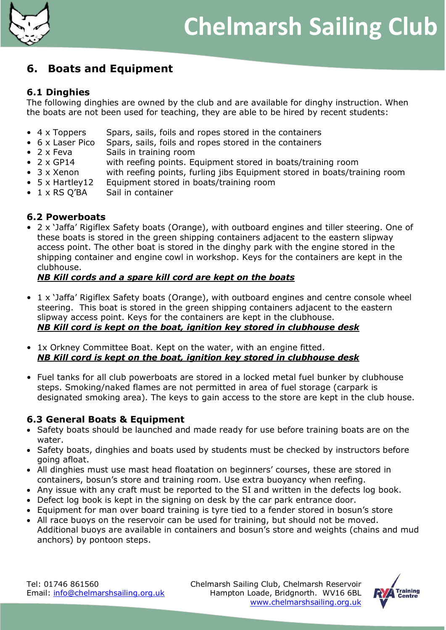![](_page_5_Picture_0.jpeg)

## <span id="page-5-0"></span>**6. Boats and Equipment**

#### **6.1 Dinghies**

The following dinghies are owned by the club and are available for dinghy instruction. When the boats are not been used for teaching, they are able to be hired by recent students:

- 4 x Toppers Spars, sails, foils and ropes stored in the containers
- 6 x Laser Pico Spars, sails, foils and ropes stored in the containers
- 2 x Feva Sails in training room
- 2 x GP14 with reefing points. Equipment stored in boats/training room
- 3 x Xenon with reefing points, furling jibs Equipment stored in boats/training room
- 5 x Hartley12 Equipment stored in boats/training room
- 1 x RS Q'BA Sail in container

#### **6.2 Powerboats**

• 2 x 'Jaffa' Rigiflex Safety boats (Orange), with outboard engines and tiller steering. One of these boats is stored in the green shipping containers adjacent to the eastern slipway access point. The other boat is stored in the dinghy park with the engine stored in the shipping container and engine cowl in workshop. Keys for the containers are kept in the clubhouse.

#### *NB Kill cords and a spare kill cord are kept on the boats*

- 1 x 'Jaffa' Rigiflex Safety boats (Orange), with outboard engines and centre console wheel steering. This boat is stored in the green shipping containers adjacent to the eastern slipway access point. Keys for the containers are kept in the clubhouse. *NB Kill cord is kept on the boat, ignition key stored in clubhouse desk*
- 1x Orkney Committee Boat. Kept on the water, with an engine fitted. *NB Kill cord is kept on the boat, ignition key stored in clubhouse desk*
- Fuel tanks for all club powerboats are stored in a locked metal fuel bunker by clubhouse steps. Smoking/naked flames are not permitted in area of fuel storage (carpark is designated smoking area). The keys to gain access to the store are kept in the club house.

#### **6.3 General Boats & Equipment**

- Safety boats should be launched and made ready for use before training boats are on the water.
- Safety boats, dinghies and boats used by students must be checked by instructors before going afloat.
- All dinghies must use mast head floatation on beginners' courses, these are stored in containers, bosun's store and training room. Use extra buoyancy when reefing.
- Any issue with any craft must be reported to the SI and written in the defects log book.
- Defect log book is kept in the signing on desk by the car park entrance door.
- Equipment for man over board training is tyre tied to a fender stored in bosun's store
- All race buoys on the reservoir can be used for training, but should not be moved. Additional buoys are available in containers and bosun's store and weights (chains and mud anchors) by pontoon steps.

![](_page_5_Picture_28.jpeg)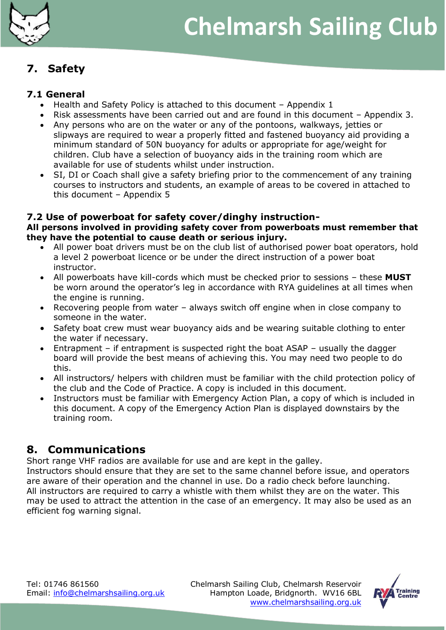![](_page_6_Picture_0.jpeg)

## <span id="page-6-0"></span>**7. Safety**

#### **7.1 General**

- Health and Safety Policy is attached to this document Appendix 1
- Risk assessments have been carried out and are found in this document Appendix 3.
- Any persons who are on the water or any of the pontoons, walkways, jetties or slipways are required to wear a properly fitted and fastened buoyancy aid providing a minimum standard of 50N buoyancy for adults or appropriate for age/weight for children. Club have a selection of buoyancy aids in the training room which are available for use of students whilst under instruction.
- SI, DI or Coach shall give a safety briefing prior to the commencement of any training courses to instructors and students, an example of areas to be covered in attached to this document – Appendix 5

#### **7.2 Use of powerboat for safety cover/dinghy instruction-**

#### **All persons involved in providing safety cover from powerboats must remember that they have the potential to cause death or serious injury.**

- All power boat drivers must be on the club list of authorised power boat operators, hold a level 2 powerboat licence or be under the direct instruction of a power boat instructor.
- All powerboats have kill-cords which must be checked prior to sessions these **MUST** be worn around the operator's leg in accordance with RYA guidelines at all times when the engine is running.
- Recovering people from water always switch off engine when in close company to someone in the water.
- Safety boat crew must wear buoyancy aids and be wearing suitable clothing to enter the water if necessary.
- Entrapment if entrapment is suspected right the boat ASAP usually the dagger board will provide the best means of achieving this. You may need two people to do this.
- All instructors/ helpers with children must be familiar with the child protection policy of the club and the Code of Practice. A copy is included in this document.
- Instructors must be familiar with Emergency Action Plan, a copy of which is included in this document. A copy of the Emergency Action Plan is displayed downstairs by the training room.

## <span id="page-6-1"></span>**8. Communications**

Short range VHF radios are available for use and are kept in the galley.

Instructors should ensure that they are set to the same channel before issue, and operators are aware of their operation and the channel in use. Do a radio check before launching. All instructors are required to carry a whistle with them whilst they are on the water. This may be used to attract the attention in the case of an emergency. It may also be used as an efficient fog warning signal.

![](_page_6_Picture_22.jpeg)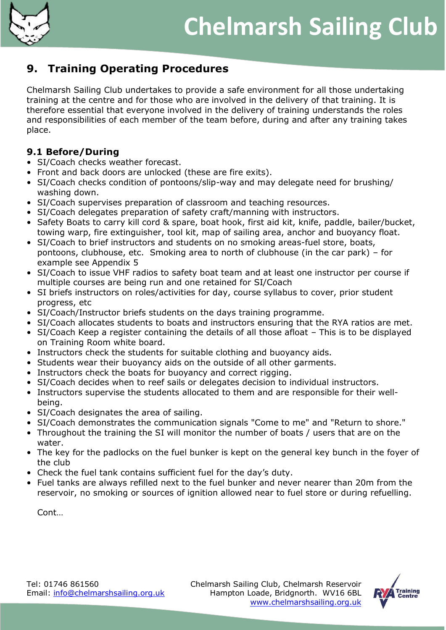![](_page_7_Picture_0.jpeg)

## <span id="page-7-0"></span>**9. Training Operating Procedures**

Chelmarsh Sailing Club undertakes to provide a safe environment for all those undertaking training at the centre and for those who are involved in the delivery of that training. It is therefore essential that everyone involved in the delivery of training understands the roles and responsibilities of each member of the team before, during and after any training takes place.

#### **9.1 Before/During**

- SI/Coach checks weather forecast.
- Front and back doors are unlocked (these are fire exits).
- SI/Coach checks condition of pontoons/slip-way and may delegate need for brushing/ washing down.
- SI/Coach supervises preparation of classroom and teaching resources.
- SI/Coach delegates preparation of safety craft/manning with instructors.
- Safety Boats to carry kill cord & spare, boat hook, first aid kit, knife, paddle, bailer/bucket, towing warp, fire extinguisher, tool kit, map of sailing area, anchor and buoyancy float.
- SI/Coach to brief instructors and students on no smoking areas-fuel store, boats, pontoons, clubhouse, etc. Smoking area to north of clubhouse (in the car park) – for example see Appendix 5
- SI/Coach to issue VHF radios to safety boat team and at least one instructor per course if multiple courses are being run and one retained for SI/Coach
- SI briefs instructors on roles/activities for day, course syllabus to cover, prior student progress, etc
- SI/Coach/Instructor briefs students on the days training programme.
- SI/Coach allocates students to boats and instructors ensuring that the RYA ratios are met.
- SI/Coach Keep a register containing the details of all those afloat This is to be displayed on Training Room white board.
- Instructors check the students for suitable clothing and buoyancy aids.
- Students wear their buoyancy aids on the outside of all other garments.
- Instructors check the boats for buoyancy and correct rigging.
- SI/Coach decides when to reef sails or delegates decision to individual instructors.
- Instructors supervise the students allocated to them and are responsible for their wellbeing.
- SI/Coach designates the area of sailing.
- SI/Coach demonstrates the communication signals "Come to me" and "Return to shore."
- Throughout the training the SI will monitor the number of boats / users that are on the water.
- The key for the padlocks on the fuel bunker is kept on the general key bunch in the foyer of the club
- Check the fuel tank contains sufficient fuel for the day's duty.
- Fuel tanks are always refilled next to the fuel bunker and never nearer than 20m from the reservoir, no smoking or sources of ignition allowed near to fuel store or during refuelling.

Cont…

![](_page_7_Picture_31.jpeg)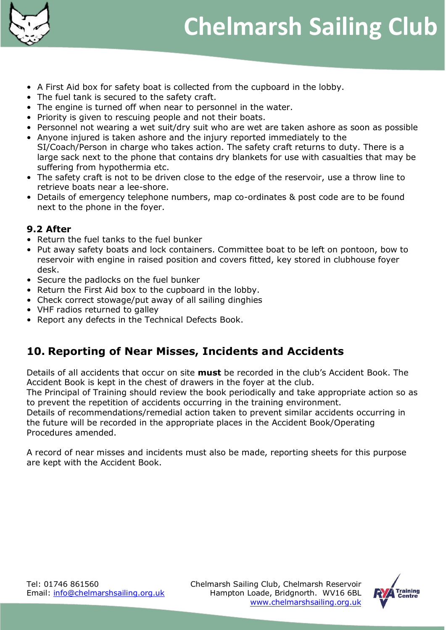![](_page_8_Picture_0.jpeg)

- A First Aid box for safety boat is collected from the cupboard in the lobby.
- The fuel tank is secured to the safety craft.
- The engine is turned off when near to personnel in the water.
- Priority is given to rescuing people and not their boats.
- Personnel not wearing a wet suit/dry suit who are wet are taken ashore as soon as possible • Anyone injured is taken ashore and the injury reported immediately to the
- SI/Coach/Person in charge who takes action. The safety craft returns to duty. There is a large sack next to the phone that contains dry blankets for use with casualties that may be suffering from hypothermia etc.
- The safety craft is not to be driven close to the edge of the reservoir, use a throw line to retrieve boats near a lee-shore.
- Details of emergency telephone numbers, map co-ordinates & post code are to be found next to the phone in the foyer.

#### **9.2 After**

- Return the fuel tanks to the fuel bunker
- Put away safety boats and lock containers. Committee boat to be left on pontoon, bow to reservoir with engine in raised position and covers fitted, key stored in clubhouse foyer desk.
- Secure the padlocks on the fuel bunker
- Return the First Aid box to the cupboard in the lobby.
- Check correct stowage/put away of all sailing dinghies
- VHF radios returned to galley
- Report any defects in the Technical Defects Book.

## <span id="page-8-0"></span>**10. Reporting of Near Misses, Incidents and Accidents**

Details of all accidents that occur on site **must** be recorded in the club's Accident Book. The Accident Book is kept in the chest of drawers in the foyer at the club.

The Principal of Training should review the book periodically and take appropriate action so as to prevent the repetition of accidents occurring in the training environment.

Details of recommendations/remedial action taken to prevent similar accidents occurring in the future will be recorded in the appropriate places in the Accident Book/Operating Procedures amended.

A record of near misses and incidents must also be made, reporting sheets for this purpose are kept with the Accident Book.

![](_page_8_Picture_25.jpeg)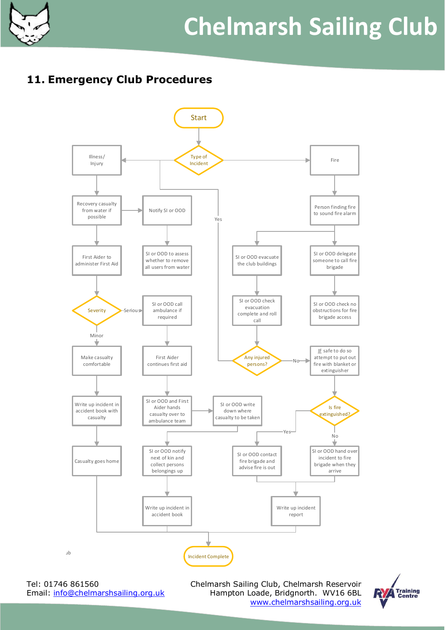![](_page_9_Picture_0.jpeg)

# **Chelmarsh Sailing Club**

## <span id="page-9-0"></span>**11. Emergency Club Procedures**

![](_page_9_Figure_3.jpeg)

Shropshire  $\overline{\phantom{a}}$  rei: Email: info@chelmarshsailing.org.uk Chelmarsh Sailing Club, Chelmarsh Reservoir Hampton Loade, Bridgnorth. WV16 6BL [www.chelmarshsailing.org.uk](http://www.chelmarshsailing.org.u/#k)

![](_page_9_Picture_6.jpeg)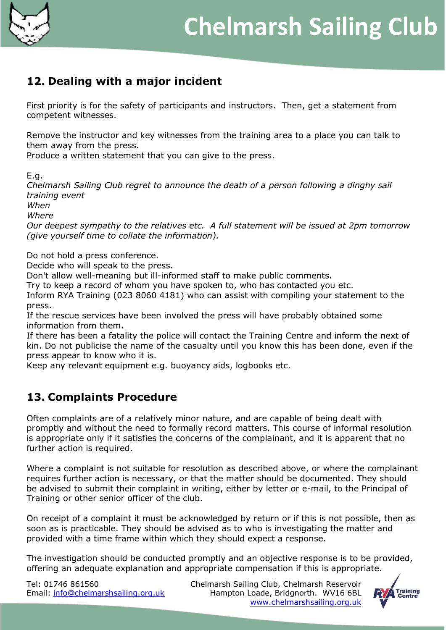![](_page_10_Figure_0.jpeg)

## <span id="page-10-0"></span>**12. Dealing with a major incident**

First priority is for the safety of participants and instructors. Then, get a statement from competent witnesses.

Remove the instructor and key witnesses from the training area to a place you can talk to them away from the press.

Produce a written statement that you can give to the press.

E.g.

*Chelmarsh Sailing Club regret to announce the death of a person following a dinghy sail training event*

*When* 

*Where* 

*Our deepest sympathy to the relatives etc. A full statement will be issued at 2pm tomorrow (give yourself time to collate the information).* 

Do not hold a press conference.

Decide who will speak to the press.

Don't allow well-meaning but ill-informed staff to make public comments.

Try to keep a record of whom you have spoken to, who has contacted you etc.

Inform RYA Training (023 8060 4181) who can assist with compiling your statement to the press.

If the rescue services have been involved the press will have probably obtained some information from them.

If there has been a fatality the police will contact the Training Centre and inform the next of kin. Do not publicise the name of the casualty until you know this has been done, even if the press appear to know who it is.

Keep any relevant equipment e.g. buoyancy aids, logbooks etc.

## <span id="page-10-1"></span>**13. Complaints Procedure**

Often complaints are of a relatively minor nature, and are capable of being dealt with promptly and without the need to formally record matters. This course of informal resolution is appropriate only if it satisfies the concerns of the complainant, and it is apparent that no further action is required.

Where a complaint is not suitable for resolution as described above, or where the complainant requires further action is necessary, or that the matter should be documented. They should be advised to submit their complaint in writing, either by letter or e-mail, to the Principal of Training or other senior officer of the club.

On receipt of a complaint it must be acknowledged by return or if this is not possible, then as soon as is practicable. They should be advised as to who is investigating the matter and provided with a time frame within which they should expect a response.

The investigation should be conducted promptly and an objective response is to be provided, offering an adequate explanation and appropriate compensation if this is appropriate.

![](_page_10_Picture_26.jpeg)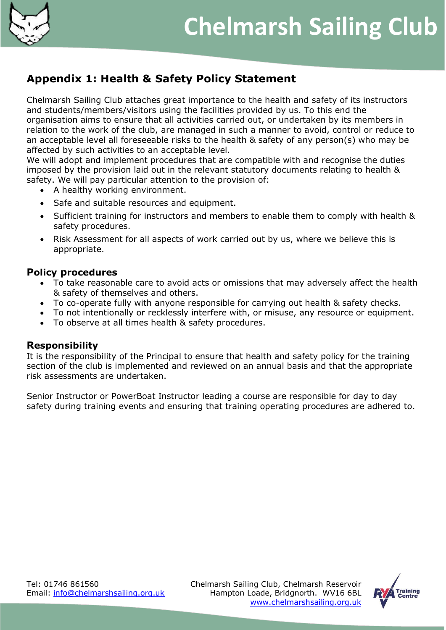![](_page_11_Picture_0.jpeg)

## <span id="page-11-0"></span>**Appendix 1: Health & Safety Policy Statement**

Chelmarsh Sailing Club attaches great importance to the health and safety of its instructors and students/members/visitors using the facilities provided by us. To this end the organisation aims to ensure that all activities carried out, or undertaken by its members in relation to the work of the club, are managed in such a manner to avoid, control or reduce to an acceptable level all foreseeable risks to the health & safety of any person(s) who may be affected by such activities to an acceptable level.

We will adopt and implement procedures that are compatible with and recognise the duties imposed by the provision laid out in the relevant statutory documents relating to health & safety. We will pay particular attention to the provision of:

- A healthy working environment.
- Safe and suitable resources and equipment.
- Sufficient training for instructors and members to enable them to comply with health & safety procedures.
- Risk Assessment for all aspects of work carried out by us, where we believe this is appropriate.

#### **Policy procedures**

- To take reasonable care to avoid acts or omissions that may adversely affect the health & safety of themselves and others.
- To co-operate fully with anyone responsible for carrying out health & safety checks.
- To not intentionally or recklessly interfere with, or misuse, any resource or equipment.
- To observe at all times health & safety procedures.

#### **Responsibility**

It is the responsibility of the Principal to ensure that health and safety policy for the training section of the club is implemented and reviewed on an annual basis and that the appropriate risk assessments are undertaken.

Senior Instructor or PowerBoat Instructor leading a course are responsible for day to day safety during training events and ensuring that training operating procedures are adhered to.

![](_page_11_Picture_19.jpeg)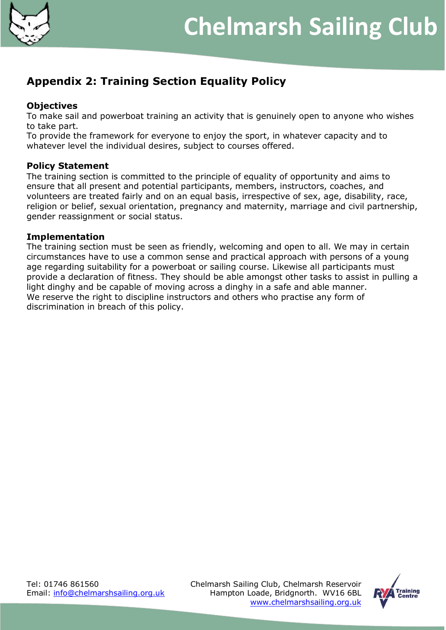![](_page_12_Picture_0.jpeg)

## <span id="page-12-0"></span>**Appendix 2: Training Section Equality Policy**

#### **Objectives**

To make sail and powerboat training an activity that is genuinely open to anyone who wishes to take part.

To provide the framework for everyone to enjoy the sport, in whatever capacity and to whatever level the individual desires, subject to courses offered.

#### **Policy Statement**

The training section is committed to the principle of equality of opportunity and aims to ensure that all present and potential participants, members, instructors, coaches, and volunteers are treated fairly and on an equal basis, irrespective of sex, age, disability, race, religion or belief, sexual orientation, pregnancy and maternity, marriage and civil partnership, gender reassignment or social status.

#### **Implementation**

The training section must be seen as friendly, welcoming and open to all. We may in certain circumstances have to use a common sense and practical approach with persons of a young age regarding suitability for a powerboat or sailing course. Likewise all participants must provide a declaration of fitness. They should be able amongst other tasks to assist in pulling a light dinghy and be capable of moving across a dinghy in a safe and able manner. We reserve the right to discipline instructors and others who practise any form of discrimination in breach of this policy.

![](_page_12_Picture_12.jpeg)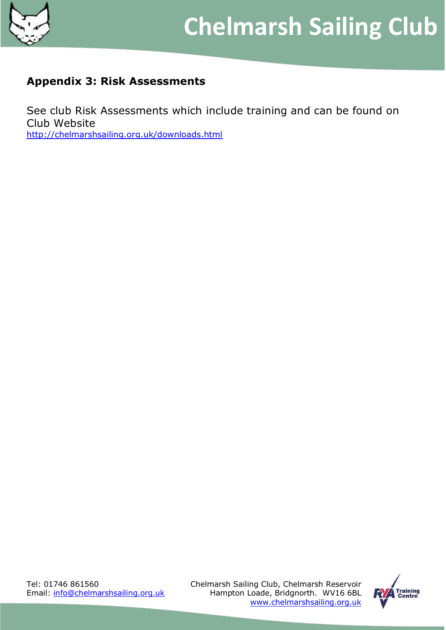![](_page_13_Picture_0.jpeg)

## <span id="page-13-0"></span>**Appendix 3: Risk Assessments**

See club Risk Assessments which include training and can be found on Club Website <http://chelmarshsailing.org.uk/downloads.html>

Tel: 01746 861560 Chelmarsh Sailing Club, Chelmarsh Reservoir Email: [info@chelmarshsailing.org.uk](mailto:info@chelmarshsailing.org.uk) Hampton Loade, Bridgnorth. WV16 6BL [www.chelmarshsailing.org.uk](http://www.chelmarshsailing.org.u/#k)

![](_page_13_Picture_6.jpeg)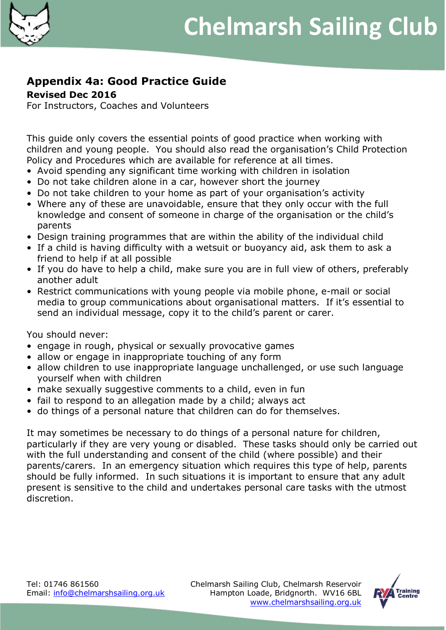![](_page_14_Picture_0.jpeg)

## <span id="page-14-0"></span>**Appendix 4a: Good Practice Guide**

**Revised Dec 2016**

For Instructors, Coaches and Volunteers

This guide only covers the essential points of good practice when working with children and young people. You should also read the organisation's Child Protection Policy and Procedures which are available for reference at all times.

- Avoid spending any significant time working with children in isolation
- Do not take children alone in a car, however short the journey
- Do not take children to your home as part of your organisation's activity
- Where any of these are unavoidable, ensure that they only occur with the full knowledge and consent of someone in charge of the organisation or the child's parents
- Design training programmes that are within the ability of the individual child
- If a child is having difficulty with a wetsuit or buoyancy aid, ask them to ask a friend to help if at all possible
- If you do have to help a child, make sure you are in full view of others, preferably another adult
- Restrict communications with young people via mobile phone, e-mail or social media to group communications about organisational matters. If it's essential to send an individual message, copy it to the child's parent or carer.

You should never:

- engage in rough, physical or sexually provocative games
- allow or engage in inappropriate touching of any form
- allow children to use inappropriate language unchallenged, or use such language yourself when with children
- make sexually suggestive comments to a child, even in fun
- fail to respond to an allegation made by a child; always act
- do things of a personal nature that children can do for themselves.

It may sometimes be necessary to do things of a personal nature for children, particularly if they are very young or disabled. These tasks should only be carried out with the full understanding and consent of the child (where possible) and their parents/carers. In an emergency situation which requires this type of help, parents should be fully informed. In such situations it is important to ensure that any adult present is sensitive to the child and undertakes personal care tasks with the utmost discretion.

![](_page_14_Picture_24.jpeg)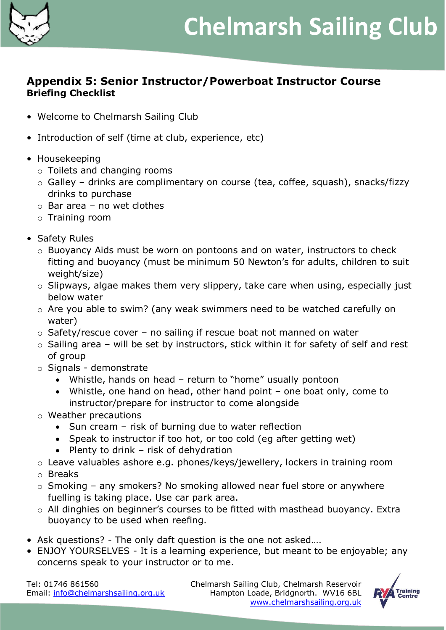![](_page_15_Picture_0.jpeg)

### <span id="page-15-0"></span>**Appendix 5: Senior Instructor/Powerboat Instructor Course Briefing Checklist**

- Welcome to Chelmarsh Sailing Club
- Introduction of self (time at club, experience, etc)
- Housekeeping
	- o Toilets and changing rooms
	- o Galley drinks are complimentary on course (tea, coffee, squash), snacks/fizzy drinks to purchase
	- $\circ$  Bar area no wet clothes
	- o Training room
- Safety Rules
	- o Buoyancy Aids must be worn on pontoons and on water, instructors to check fitting and buoyancy (must be minimum 50 Newton's for adults, children to suit weight/size)
	- o Slipways, algae makes them very slippery, take care when using, especially just below water
	- o Are you able to swim? (any weak swimmers need to be watched carefully on water)
	- $\circ$  Safety/rescue cover no sailing if rescue boat not manned on water
	- $\circ$  Sailing area will be set by instructors, stick within it for safety of self and rest of group
	- o Signals demonstrate
		- Whistle, hands on head return to "home" usually pontoon
		- Whistle, one hand on head, other hand point one boat only, come to instructor/prepare for instructor to come alongside
	- o Weather precautions
		- Sun cream risk of burning due to water reflection
		- Speak to instructor if too hot, or too cold (eg after getting wet)
		- Plenty to drink  $-$  risk of dehydration
	- o Leave valuables ashore e.g. phones/keys/jewellery, lockers in training room
	- o Breaks
	- $\circ$  Smoking any smokers? No smoking allowed near fuel store or anywhere fuelling is taking place. Use car park area.
	- o All dinghies on beginner's courses to be fitted with masthead buoyancy. Extra buoyancy to be used when reefing.
- Ask questions? The only daft question is the one not asked….
- ENJOY YOURSELVES It is a learning experience, but meant to be enjoyable; any concerns speak to your instructor or to me.

![](_page_15_Picture_31.jpeg)